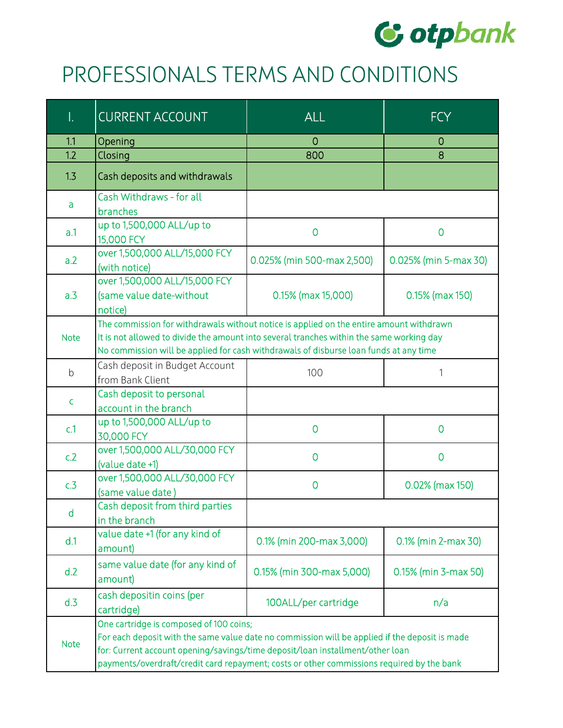

## PROFESSIONALS TERMS AND CONDITIONS

| I.          | <b>CURRENT ACCOUNT</b>                                                                                                                                                                                                                                                                                                  | <b>ALL</b>                 | <b>FCY</b>            |
|-------------|-------------------------------------------------------------------------------------------------------------------------------------------------------------------------------------------------------------------------------------------------------------------------------------------------------------------------|----------------------------|-----------------------|
| 1.1         | Opening                                                                                                                                                                                                                                                                                                                 | 0                          | 0                     |
| 1.2         | Closing                                                                                                                                                                                                                                                                                                                 | 800                        | 8                     |
| 1.3         | Cash deposits and withdrawals                                                                                                                                                                                                                                                                                           |                            |                       |
| a           | Cash Withdraws - for all<br>branches                                                                                                                                                                                                                                                                                    |                            |                       |
| a.1         | up to 1,500,000 ALL/up to<br>15,000 FCY                                                                                                                                                                                                                                                                                 | $\overline{0}$             | $\mathbf 0$           |
| a.2         | over 1,500,000 ALL/15,000 FCY<br>(with notice)                                                                                                                                                                                                                                                                          | 0.025% (min 500-max 2,500) | 0.025% (min 5-max 30) |
| a.3         | over 1,500,000 ALL/15,000 FCY<br>(same value date-without<br>notice)                                                                                                                                                                                                                                                    | 0.15% (max 15,000)         | 0.15% (max 150)       |
| <b>Note</b> | The commission for withdrawals without notice is applied on the entire amount withdrawn<br>It is not allowed to divide the amount into several tranches within the same working day<br>No commission will be applied for cash withdrawals of disburse loan funds at any time                                            |                            |                       |
| b           | Cash deposit in Budget Account<br>from Bank Client                                                                                                                                                                                                                                                                      | 100                        | 1                     |
| C.          | Cash deposit to personal<br>account in the branch                                                                                                                                                                                                                                                                       |                            |                       |
| c.1         | up to 1,500,000 ALL/up to<br>30,000 FCY                                                                                                                                                                                                                                                                                 | 0                          | 0                     |
| c.2         | over 1,500,000 ALL/30,000 FCY<br>(value date +1)                                                                                                                                                                                                                                                                        | $\overline{0}$             | $\overline{0}$        |
| c.3         | over 1,500,000 ALL/30,000 FCY<br>(same value date)                                                                                                                                                                                                                                                                      | $\overline{0}$             | 0.02% (max 150)       |
| d           | Cash deposit from third parties<br>in the branch                                                                                                                                                                                                                                                                        |                            |                       |
| d.1         | value date +1 (for any kind of<br>amount)                                                                                                                                                                                                                                                                               | 0.1% (min 200-max 3,000)   | 0.1% (min 2-max 30)   |
| d.2         | same value date (for any kind of<br>amount)                                                                                                                                                                                                                                                                             | 0.15% (min 300-max 5,000)  | 0.15% (min 3-max 50)  |
| d.3         | cash depositin coins (per<br>cartridge)                                                                                                                                                                                                                                                                                 | 100ALL/per cartridge       | n/a                   |
| <b>Note</b> | One cartridge is composed of 100 coins;<br>For each deposit with the same value date no commission will be applied if the deposit is made<br>for: Current account opening/savings/time deposit/loan installment/other loan<br>payments/overdraft/credit card repayment; costs or other commissions required by the bank |                            |                       |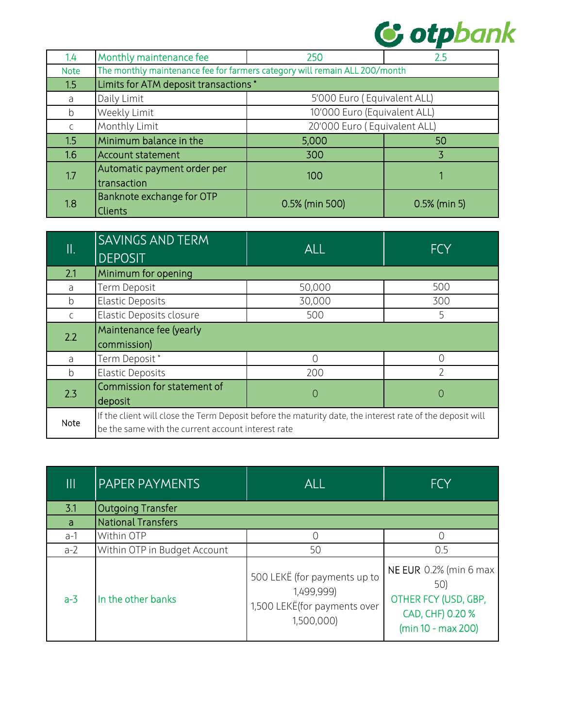

| 1.4           | Monthly maintenance fee                                                    | 250                          | 2.5            |
|---------------|----------------------------------------------------------------------------|------------------------------|----------------|
| <b>Note</b>   | The monthly maintenance fee for farmers category will remain ALL 200/month |                              |                |
| 1.5           | Limits for ATM deposit transactions *                                      |                              |                |
| a             | Daily Limit                                                                | 5'000 Euro (Equivalent ALL)  |                |
| $\mathfrak b$ | Weekly Limit                                                               | 10'000 Euro (Equivalent ALL) |                |
|               | Monthly Limit                                                              | 20'000 Euro (Equivalent ALL) |                |
| 1.5           | Minimum balance in the                                                     | 5,000                        | 50             |
| 1.6           | Account statement                                                          | 300                          | 3              |
| 1.7           | Automatic payment order per                                                | 100                          |                |
|               | transaction                                                                |                              |                |
| 1.8           | Banknote exchange for OTP                                                  | 0.5% (min 500)               | $0.5%$ (min 5) |
|               | <b>Clients</b>                                                             |                              |                |

| II.           | <b>SAVINGS AND TERM</b><br><b>DEPOSIT</b>                                                                                                                       | <b>ALL</b> | <b>FCY</b>        |
|---------------|-----------------------------------------------------------------------------------------------------------------------------------------------------------------|------------|-------------------|
| 2.1           | Minimum for opening                                                                                                                                             |            |                   |
| a             | Term Deposit                                                                                                                                                    | 50,000     | 500               |
| b             | <b>Elastic Deposits</b>                                                                                                                                         | 30,000     | 300               |
| $\mathsf{C}$  | Elastic Deposits closure                                                                                                                                        | 500        | 5                 |
| 2.2           | Maintenance fee (yearly<br>commission)                                                                                                                          |            |                   |
| a             | Term Deposit*                                                                                                                                                   | ∩          | Ω                 |
| $\mathfrak b$ | <b>Elastic Deposits</b>                                                                                                                                         | 200        | っ                 |
| 2.3           | Commission for statement of<br>deposit                                                                                                                          | $\theta$   | $\left(\,\right)$ |
| Note          | If the client will close the Term Deposit before the maturity date, the interest rate of the deposit will<br>be the same with the current account interest rate |            |                   |

| Ш     | <b>PAPER PAYMENTS</b>        | <b>ALL</b>                                                                               | <b>FCY</b>                                                                                      |
|-------|------------------------------|------------------------------------------------------------------------------------------|-------------------------------------------------------------------------------------------------|
| 3.1   | <b>Outgoing Transfer</b>     |                                                                                          |                                                                                                 |
| a     | National Transfers           |                                                                                          |                                                                                                 |
| $a-1$ | Within OTP                   |                                                                                          |                                                                                                 |
| $a-2$ | Within OTP in Budget Account | 50                                                                                       | 0.5                                                                                             |
| $a-3$ | In the other banks           | 500 LEKË (for payments up to<br>1,499,999)<br>1,500 LEKË(for payments over<br>1,500,000) | NE EUR 0.2% (min 6 max<br>50)<br>OTHER FCY (USD, GBP,<br>CAD, CHF) 0.20 %<br>(min 10 - max 200) |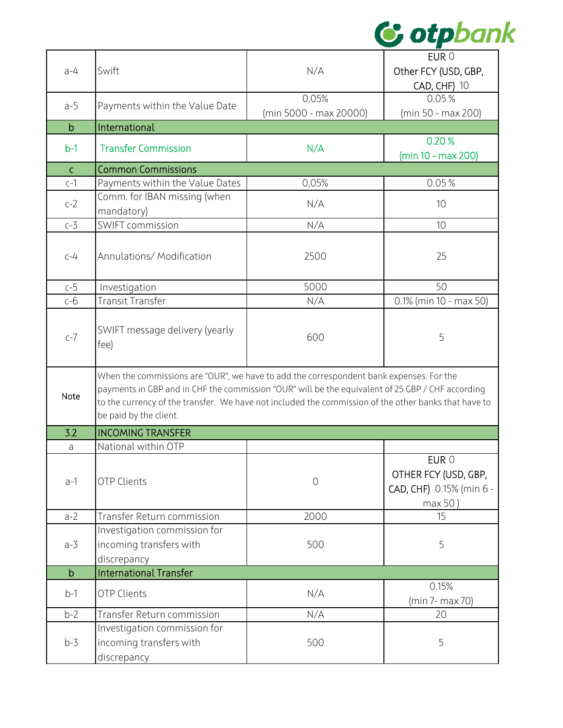

|              |                                                                                                      |                        | EUR 0                    |
|--------------|------------------------------------------------------------------------------------------------------|------------------------|--------------------------|
| $a-4$        | Swift                                                                                                | N/A                    | Other FCY (USD, GBP,     |
|              |                                                                                                      |                        | <b>CAD, CHF) 10</b>      |
|              |                                                                                                      | 0,05%                  | 0.05%                    |
| $a-5$        | Payments within the Value Date                                                                       | (min 5000 - max 20000) | (min 50 - max 200)       |
| $\mathsf b$  | International                                                                                        |                        |                          |
|              |                                                                                                      |                        | 0.20%                    |
| $b-1$        | <b>Transfer Commission</b>                                                                           | N/A                    | (min 10 - max 200)       |
| $\mathsf{C}$ | <b>Common Commissions</b>                                                                            |                        |                          |
| $c-1$        | Payments within the Value Dates                                                                      | 0,05%                  | 0.05%                    |
|              | Comm. for IBAN missing (when                                                                         |                        |                          |
| $c-2$        | mandatory)                                                                                           | N/A                    | 10                       |
| $c-3$        | <b>SWIFT commission</b>                                                                              | N/A                    | 10                       |
|              |                                                                                                      |                        |                          |
| $C-4$        | Annulations/ Modification                                                                            | 2500                   | 25                       |
|              |                                                                                                      |                        |                          |
|              |                                                                                                      | 5000                   | 50                       |
| $c-5$        | Investigation                                                                                        |                        |                          |
| $c-6$        | Transit Transfer                                                                                     | N/A                    | 0.1% (min 10 - max 50)   |
|              |                                                                                                      |                        |                          |
| $c-7$        | SWIFT message delivery (yearly                                                                       | 600                    | 5                        |
|              | fee)                                                                                                 |                        |                          |
|              |                                                                                                      |                        |                          |
|              | When the commissions are "OUR", we have to add the correspondent bank expenses. For the              |                        |                          |
| Note         | payments in GBP and in CHF the commission "OUR" will be the equivalent of 25 GBP / CHF according     |                        |                          |
|              | to the currency of the transfer. We have not included the commission of the other banks that have to |                        |                          |
|              | be paid by the client.                                                                               |                        |                          |
| 3.2          | <b>INCOMING TRANSFER</b>                                                                             |                        |                          |
| a            | National within OTP                                                                                  |                        |                          |
|              |                                                                                                      |                        | EUR 0                    |
| $a-1$        | <b>OTP Clients</b>                                                                                   | $\overline{O}$         | OTHER FCY (USD, GBP,     |
|              |                                                                                                      |                        | CAD, CHF) 0.15% (min 6 - |
|              |                                                                                                      |                        | max 50)                  |
| $a-2$        | Transfer Return commission                                                                           | 2000                   | 15                       |
|              | Investigation commission for                                                                         |                        |                          |
| $a-3$        | incoming transfers with                                                                              | 500                    | 5                        |
|              | discrepancy                                                                                          |                        |                          |
| $\mathsf b$  | <b>International Transfer</b>                                                                        |                        |                          |
| $b-1$        | <b>OTP Clients</b>                                                                                   | N/A                    | 0.15%                    |
|              |                                                                                                      |                        | (min 7- max 70)          |
| $b-2$        | Transfer Return commission                                                                           | N/A                    | 20                       |
|              | Investigation commission for                                                                         |                        |                          |
| $b-3$        | incoming transfers with                                                                              | 500                    | 5                        |
|              | discrepancy                                                                                          |                        |                          |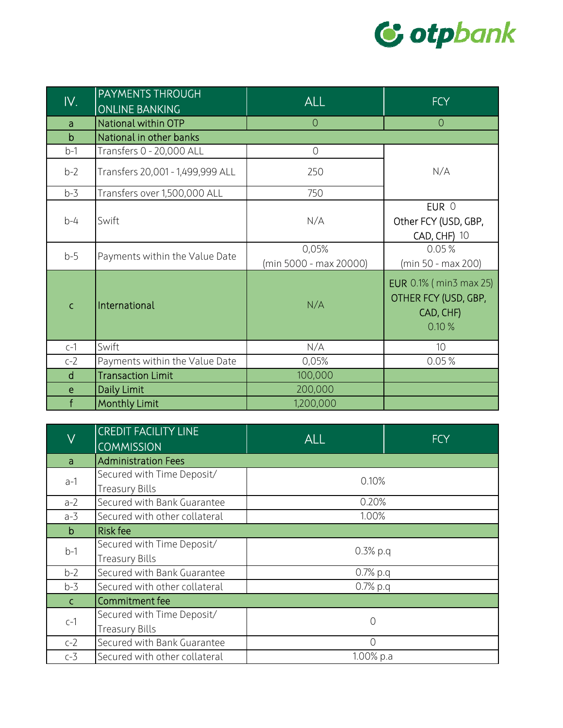

| IV.          | PAYMENTS THROUGH<br><b>ONLINE BANKING</b> | $\overline{\sf ALL}$            | <b>FCY</b>                                                                  |
|--------------|-------------------------------------------|---------------------------------|-----------------------------------------------------------------------------|
| a            | National within OTP                       | $\overline{0}$                  | $\overline{0}$                                                              |
| $\mathsf{b}$ | National in other banks                   |                                 |                                                                             |
| $b-1$        | Transfers 0 - 20,000 ALL                  | $\overline{0}$                  |                                                                             |
| $b-2$        | Transfers 20,001 - 1,499,999 ALL          | 250                             | N/A                                                                         |
| $b-3$        | Transfers over 1,500,000 ALL              | 750                             |                                                                             |
| $b-4$        | Swift                                     | N/A                             | EUR 0<br>Other FCY (USD, GBP,<br><b>CAD, CHF) 10</b>                        |
| $b-5$        | Payments within the Value Date            | 0,05%<br>(min 5000 - max 20000) | 0.05%<br>(min 50 - max 200)                                                 |
| $\mathsf{C}$ | International                             | N/A                             | <b>EUR</b> 0.1% (min3 max 25)<br>OTHER FCY (USD, GBP,<br>CAD, CHF)<br>0.10% |
| $c-1$        | Swift                                     | N/A                             | 10                                                                          |
| $c-2$        | Payments within the Value Date            | 0,05%                           | 0.05%                                                                       |
| $\mathsf{d}$ | <b>Transaction Limit</b>                  | 100,000                         |                                                                             |
| e            | Daily Limit                               | 200,000                         |                                                                             |
| f            | <b>Monthly Limit</b>                      | 1,200,000                       |                                                                             |

| $\overline{\vee}$                                            | <b>CREDIT FACILITY LINE</b><br><b>COMMISSION</b> | <b>ALL</b> | <b>FCY</b> |
|--------------------------------------------------------------|--------------------------------------------------|------------|------------|
| a                                                            | <b>Administration Fees</b>                       |            |            |
| Secured with Time Deposit/<br>$a-1$<br><b>Treasury Bills</b> |                                                  | 0.10%      |            |
|                                                              |                                                  |            |            |
| $a-2$                                                        | Secured with Bank Guarantee                      | 0.20%      |            |
| $a-3$                                                        | Secured with other collateral                    | 1.00%      |            |
| b                                                            | <b>Risk fee</b>                                  |            |            |
|                                                              | Secured with Time Deposit/                       | $0.3%$ p.q |            |
| $b-1$                                                        | <b>Treasury Bills</b>                            |            |            |
| $b-2$                                                        | Secured with Bank Guarantee                      | $0.7%$ p.q |            |
| $b-3$                                                        | Secured with other collateral                    | $0.7%$ p.q |            |
| C.                                                           | Commitment fee                                   |            |            |
| $c-1$                                                        | Secured with Time Deposit/                       | 0          |            |
|                                                              | <b>Treasury Bills</b>                            |            |            |
| $c-2$                                                        | Secured with Bank Guarantee                      | $\bigcap$  |            |
| $c-3$                                                        | Secured with other collateral                    | 1.00% p.a  |            |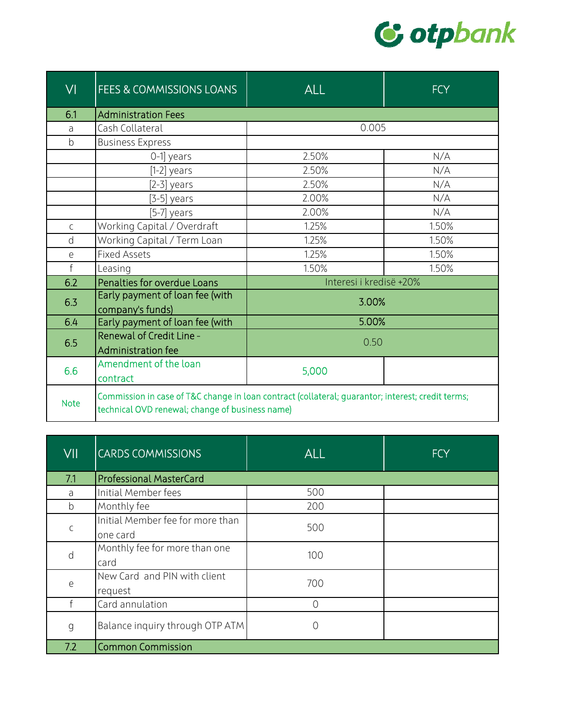

| VI           | FEES & COMMISSIONS LOANS                                                                                                                             | <b>ALL</b>              | <b>FCY</b> |
|--------------|------------------------------------------------------------------------------------------------------------------------------------------------------|-------------------------|------------|
| 6.1          | <b>Administration Fees</b>                                                                                                                           |                         |            |
| a            | Cash Collateral                                                                                                                                      | 0.005                   |            |
| b            | <b>Business Express</b>                                                                                                                              |                         |            |
|              | 0-1] years                                                                                                                                           | 2.50%                   | N/A        |
|              | $[1-2]$ years                                                                                                                                        | 2.50%                   | N/A        |
|              | $[2-3]$ years                                                                                                                                        | 2.50%                   | N/A        |
|              | $[3-5]$ years                                                                                                                                        | 2.00%                   | N/A        |
|              | [5-7] years                                                                                                                                          | 2.00%                   | N/A        |
| $\mathsf{C}$ | Working Capital / Overdraft                                                                                                                          | 1.25%                   | 1.50%      |
| d            | Working Capital / Term Loan                                                                                                                          | 1.25%                   | 1.50%      |
| е            | <b>Fixed Assets</b>                                                                                                                                  | 1.25%                   | 1.50%      |
| $\mathsf{f}$ | Leasing                                                                                                                                              | 1.50%                   | 1.50%      |
| 6.2          | Penalties for overdue Loans                                                                                                                          | Interesi i kredisë +20% |            |
| 6.3          | Early payment of loan fee (with<br>company's funds)                                                                                                  | 3.00%                   |            |
| 6.4          | Early payment of loan fee (with                                                                                                                      | 5.00%                   |            |
| 6.5          | <b>Renewal of Credit Line -</b><br>Administration fee                                                                                                | 0.50                    |            |
| 6.6          | Amendment of the loan<br>contract                                                                                                                    | 5,000                   |            |
| <b>Note</b>  | Commission in case of T&C change in loan contract (collateral; guarantor; interest; credit terms;<br>technical OVD renewal; change of business name) |                         |            |

| VII | <b>CARDS COMMISSIONS</b>                     | <b>ALL</b>     | <b>FCY</b> |
|-----|----------------------------------------------|----------------|------------|
| 7.1 | <b>Professional MasterCard</b>               |                |            |
| a   | Initial Member fees                          | 500            |            |
| b   | Monthly fee                                  | 200            |            |
|     | Initial Member fee for more than<br>one card | 500            |            |
| d   | Monthly fee for more than one<br>card        | 100            |            |
| e   | New Card and PIN with client<br>request      | 700            |            |
|     | Card annulation                              | $\overline{O}$ |            |
| g   | Balance inquiry through OTP ATM              | 0              |            |
| 7.2 | <b>Common Commission</b>                     |                |            |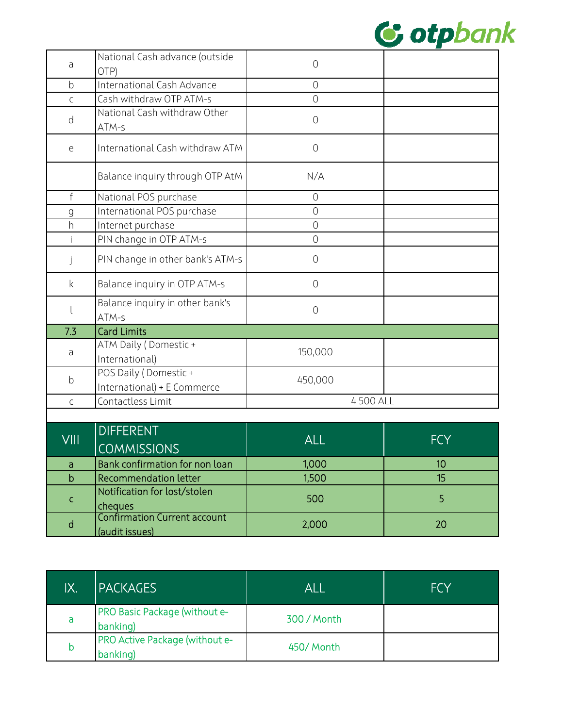

| a            | National Cash advance (outside<br>OTP)               | $\bigcirc$     |            |
|--------------|------------------------------------------------------|----------------|------------|
| b            | International Cash Advance                           | $\circ$        |            |
| $\mathsf C$  | Cash withdraw OTP ATM-s                              | $\overline{O}$ |            |
| d            | National Cash withdraw Other<br>ATM-s                | $\circ$        |            |
| e            | International Cash withdraw ATM                      | $\bigcirc$     |            |
|              | Balance inquiry through OTP AtM                      | N/A            |            |
| $\mathsf{f}$ | National POS purchase                                | $\overline{O}$ |            |
| $\mathsf{g}$ | International POS purchase                           | $\bigcirc$     |            |
| h            | Internet purchase                                    | $\overline{O}$ |            |
|              | PIN change in OTP ATM-s                              | $\overline{O}$ |            |
| j            | PIN change in other bank's ATM-s                     | $\circ$        |            |
| $\mathsf{k}$ | Balance inquiry in OTP ATM-s                         | $\overline{O}$ |            |
|              | Balance inquiry in other bank's<br>ATM-s             | $\circ$        |            |
| 7.3          | <b>Card Limits</b>                                   |                |            |
| a            | ATM Daily (Domestic +<br>International)              | 150,000        |            |
| $\mathsf b$  | POS Daily (Domestic +<br>International) + E Commerce | 450,000        |            |
| $\mathsf{C}$ | Contactless Limit                                    | 4500 ALL       |            |
|              |                                                      |                |            |
|              | <b>DIFFERENT</b>                                     |                |            |
| VIII         | <b>COMMISSIONS</b>                                   | <b>ALL</b>     | <b>FCY</b> |
| a            | Bank confirmation for non loan                       | 1,000          | 10         |
| $\mathsf{b}$ | <b>Recommendation letter</b>                         | 1,500          | 15         |
| C            | Notification for lost/stolen<br>cheques              | 500            | 5          |

| IX. | <b>IPACKAGES</b>                                 | ALL         | <b>FCY</b> |
|-----|--------------------------------------------------|-------------|------------|
| a   | <b>PRO Basic Package (without e-</b><br>banking) | 300 / Month |            |
|     | PRO Active Package (without e-<br>banking)       | 450/Month   |            |

Confirmation Current account (audit issues) 2,000 <sup>20</sup>

d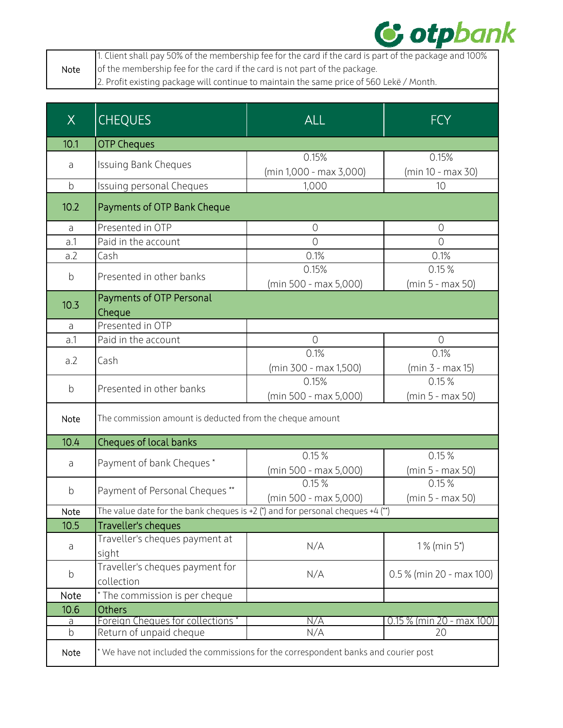

|      | 1. Client shall pay 50% of the membership fee for the card if the card is part of the package and 100% |
|------|--------------------------------------------------------------------------------------------------------|
| Note | of the membership fee for the card if the card is not part of the package.                             |
|      | 2. Profit existing package will continue to maintain the same price of 560 Lekë / Month.               |
|      |                                                                                                        |

| X           | <b>CHEQUES</b>                                                                    | <b>ALL</b>                       | <b>FCY</b>                  |
|-------------|-----------------------------------------------------------------------------------|----------------------------------|-----------------------------|
| 10.1        | <b>OTP Cheques</b>                                                                |                                  |                             |
| a           | <b>Issuing Bank Cheques</b>                                                       | 0.15%<br>(min 1,000 - max 3,000) | 0.15%<br>(min 10 - max 30)  |
| $\mathsf b$ | Issuing personal Cheques                                                          | 1,000                            | 10                          |
| 10.2        | Payments of OTP Bank Cheque                                                       |                                  |                             |
| a           | Presented in OTP                                                                  | $\overline{0}$                   | $\overline{O}$              |
| a.1         | Paid in the account                                                               | $\overline{O}$                   | $\sqrt{a}$                  |
| a.2         | Cash                                                                              | 0.1%                             | 0.1%                        |
| $\mathsf b$ | Presented in other banks                                                          | 0.15%<br>(min 500 - max 5,000)   | 0.15%<br>(min 5 - max 50)   |
| 10.3        | Payments of OTP Personal<br>Cheque                                                |                                  |                             |
| a           | Presented in OTP                                                                  |                                  |                             |
| a.1         | Paid in the account                                                               | $\overline{O}$                   | $\overline{O}$              |
| a.2         | Cash                                                                              | 0.1%<br>(min 300 - max 1,500)    | 0.1%<br>$(min 3 - max 15)$  |
| $\mathsf b$ | Presented in other banks                                                          | 0.15%<br>(min 500 - max 5,000)   | 0.15%<br>(min 5 - max 50)   |
| Note        | The commission amount is deducted from the cheque amount                          |                                  |                             |
| 10.4        | Cheques of local banks                                                            |                                  |                             |
| a           | Payment of bank Cheques*                                                          | 0.15%<br>(min 500 - max 5,000)   | 0.15%<br>(min 5 - max 50)   |
| $\mathsf b$ | Payment of Personal Cheques **                                                    | 0.15%<br>(min 500 - max 5,000)   | 0.15%<br>(min 5 - max 50)   |
| Note        | The value date for the bank cheques is +2 (*) and for personal cheques +4 (**)    |                                  |                             |
| 10.5        | Traveller's cheques                                                               |                                  |                             |
| a           | Traveller's cheques payment at<br>sight                                           | N/A                              | 1% (min 5*)                 |
| b           | Traveller's cheques payment for<br>collection                                     | N/A                              | $0.5\%$ (min 20 - max 100)  |
| Note        | * The commission is per cheque                                                    |                                  |                             |
| 10.6        | <b>Others</b>                                                                     |                                  |                             |
| <u>a</u>    | Foreign Cheques for collections*                                                  | N/A                              | $0.15\%$ (min 20 - max 100) |
| $\mathsf b$ | Return of unpaid cheque                                                           | N/A                              | 20                          |
| Note        | We have not included the commissions for the correspondent banks and courier post |                                  |                             |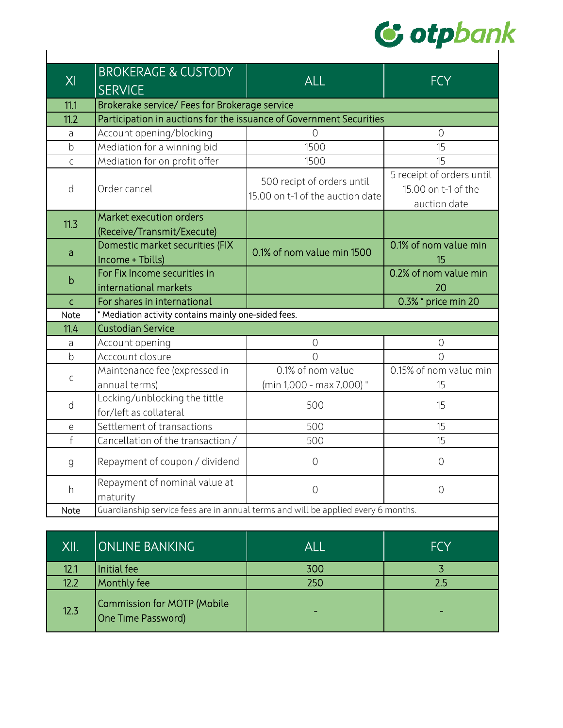

| XI           | <b>BROKERAGE &amp; CUSTODY</b><br><b>SERVICE</b>                                  | <b>ALL</b>                                                     | <b>FCY</b>                                                       |  |  |
|--------------|-----------------------------------------------------------------------------------|----------------------------------------------------------------|------------------------------------------------------------------|--|--|
| 11.1         | Brokerake service/ Fees for Brokerage service                                     |                                                                |                                                                  |  |  |
| 11.2         | Participation in auctions for the issuance of Government Securities               |                                                                |                                                                  |  |  |
| a            | Account opening/blocking                                                          | $\overline{O}$                                                 | $\overline{0}$                                                   |  |  |
| $\mathsf b$  | Mediation for a winning bid                                                       | 1500                                                           | 15                                                               |  |  |
| $\mathsf C$  | Mediation for on profit offer                                                     | 1500                                                           | 15                                                               |  |  |
| d            | Order cancel                                                                      | 500 recipt of orders until<br>15.00 on t-1 of the auction date | 5 receipt of orders until<br>15.00 on t-1 of the<br>auction date |  |  |
| 11.3         | Market execution orders                                                           |                                                                |                                                                  |  |  |
|              | (Receive/Transmit/Execute)                                                        |                                                                |                                                                  |  |  |
| a            | Domestic market securities (FIX<br>Income + Tbills)                               | 0.1% of nom value min 1500                                     | 0.1% of nom value min<br>15                                      |  |  |
| $\mathsf b$  | For Fix Income securities in<br>international markets                             |                                                                | 0.2% of nom value min<br>20                                      |  |  |
| $\mathsf{C}$ | For shares in international                                                       |                                                                | 0.3% * price min 20                                              |  |  |
| Note         | * Mediation activity contains mainly one-sided fees.                              |                                                                |                                                                  |  |  |
| 11.4         | <b>Custodian Service</b>                                                          |                                                                |                                                                  |  |  |
| a            | Account opening                                                                   | $\overline{0}$                                                 | $\overline{0}$                                                   |  |  |
| $\mathsf b$  | Acccount closure                                                                  | $\overline{0}$                                                 | $\overline{0}$                                                   |  |  |
| $\mathsf{C}$ | Maintenance fee (expressed in<br>annual terms)                                    | 0.1% of nom value<br>(min 1,000 - max 7,000) "                 | 0.15% of nom value min<br>15                                     |  |  |
| d            | Locking/unblocking the tittle<br>for/left as collateral                           | 500                                                            | 15                                                               |  |  |
| e            | Settlement of transactions                                                        | 500                                                            | 15                                                               |  |  |
| $\mathsf{f}$ | Cancellation of the transaction /                                                 | 500                                                            | 15                                                               |  |  |
| $\mathsf g$  | Repayment of coupon / dividend                                                    | $\circ$                                                        | $\overline{0}$                                                   |  |  |
| h            | Repayment of nominal value at<br>maturity                                         | $\overline{0}$                                                 | $\overline{0}$                                                   |  |  |
| Note         | Guardianship service fees are in annual terms and will be applied every 6 months. |                                                                |                                                                  |  |  |

| XII. | <b>ONLINE BANKING</b>                             | ALL                      | <b>FCY</b> |
|------|---------------------------------------------------|--------------------------|------------|
| 12.1 | Initial fee                                       | 300                      |            |
| 12.2 | Monthly fee                                       | 250                      | 2.5        |
| 12.3 | Commission for MOTP (Mobile<br>One Time Password) | $\overline{\phantom{a}}$ |            |